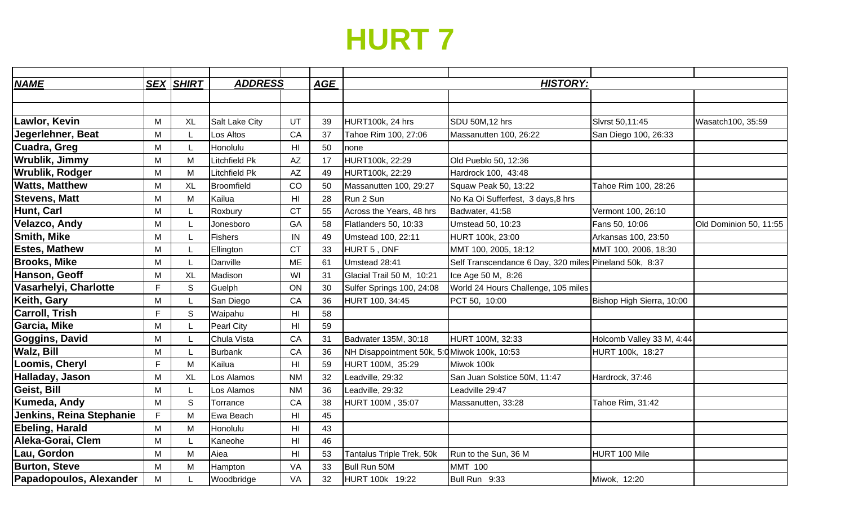## **HURT 7**

| <b>NAME</b>              |    | <b>SEX SHIRT</b> | <b>ADDRESS</b> |                        | AGE | <b>HISTORY:</b>                              |                                                        |                           |                        |
|--------------------------|----|------------------|----------------|------------------------|-----|----------------------------------------------|--------------------------------------------------------|---------------------------|------------------------|
|                          |    |                  |                |                        |     |                                              |                                                        |                           |                        |
|                          |    |                  |                |                        |     |                                              |                                                        |                           |                        |
| Lawlor, Kevin            | M  | <b>XL</b>        | Salt Lake City | UT                     | 39  | HURT100k, 24 hrs                             | SDU 50M,12 hrs                                         | Slvrst 50,11:45           | Wasatch100, 35:59      |
| Jegerlehner, Beat        | м  |                  | Los Altos      | CA                     | 37  | Tahoe Rim 100, 27:06                         | Massanutten 100, 26:22                                 | San Diego 100, 26:33      |                        |
| Cuadra, Greg             | М  | L                | Honolulu       | H <sub>l</sub>         | 50  | none                                         |                                                        |                           |                        |
| Wrublik, Jimmy           | M  | M                | Litchfield Pk  | $\mathsf{A}\mathsf{Z}$ | 17  | HURT100k, 22:29                              | Old Pueblo 50, 12:36                                   |                           |                        |
| <b>Wrublik, Rodger</b>   | M  | M                | Litchfield Pk  | AZ                     | 49  | HURT100k, 22:29                              | Hardrock 100, 43:48                                    |                           |                        |
| <b>Watts, Matthew</b>    | M  | <b>XL</b>        | Broomfield     | CO                     | 50  | Massanutten 100, 29:27                       | Squaw Peak 50, 13:22                                   | Tahoe Rim 100, 28:26      |                        |
| <b>Stevens, Matt</b>     | М  | M                | Kailua         | H <sub>II</sub>        | 28  | Run 2 Sun                                    | No Ka Oi Sufferfest, 3 days, 8 hrs                     |                           |                        |
| Hunt, Carl               | M  |                  | Roxbury        | <b>CT</b>              | 55  | Across the Years, 48 hrs                     | Badwater, 41:58                                        | Vermont 100, 26:10        |                        |
| <b>Velazco, Andy</b>     | М  |                  | Jonesboro      | GA                     | 58  | Flatlanders 50, 10:33                        | Umstead 50, 10:23                                      | Fans 50, 10:06            | Old Dominion 50, 11:55 |
| <b>Smith, Mike</b>       | М  |                  | <b>Fishers</b> | IN                     | 49  | Umstead 100, 22:11                           | HURT 100k, 23:00                                       | Arkansas 100, 23:50       |                        |
| <b>Estes, Mathew</b>     | М  |                  | Ellington      | <b>CT</b>              | 33  | HURT 5, DNF                                  | MMT 100, 2005, 18:12                                   | MMT 100, 2006, 18:30      |                        |
| <b>Brooks, Mike</b>      | М  |                  | Danville       | <b>ME</b>              | 61  | Umstead 28:41                                | Self Transcendance 6 Day, 320 miles Pineland 50k, 8:37 |                           |                        |
| Hanson, Geoff            | М  | <b>XL</b>        | Madison        | WI                     | 31  | Glacial Trail 50 M, 10:21                    | Ice Age 50 M, 8:26                                     |                           |                        |
| Vasarhelyi, Charlotte    | F. | S                | Guelph         | ON                     | 30  | Sulfer Springs 100, 24:08                    | World 24 Hours Challenge, 105 miles                    |                           |                        |
| Keith, Gary              | M  |                  | San Diego      | CA                     | 36  | HURT 100, 34:45                              | PCT 50, 10:00                                          | Bishop High Sierra, 10:00 |                        |
| <b>Carroll, Trish</b>    | E  | S                | Waipahu        | H <sub>l</sub>         | 58  |                                              |                                                        |                           |                        |
| Garcia, Mike             | M  |                  | Pearl City     | H <sub>l</sub>         | 59  |                                              |                                                        |                           |                        |
| <b>Goggins, David</b>    | M  |                  | Chula Vista    | CA                     | 31  | Badwater 135M, 30:18                         | HURT 100M, 32:33                                       | Holcomb Valley 33 M, 4:44 |                        |
| <b>Walz, Bill</b>        | M  | L                | <b>Burbank</b> | CA                     | 36  | NH Disappointment 50k, 5:0 Miwok 100k, 10:53 |                                                        | HURT 100k, 18:27          |                        |
| Loomis, Cheryl           | E  | M                | Kailua         | H <sub>l</sub>         | 59  | HURT 100M, 35:29                             | Miwok 100k                                             |                           |                        |
| Halladay, Jason          | М  | <b>XL</b>        | Los Alamos     | <b>NM</b>              | 32  | Leadville, 29:32                             | San Juan Solstice 50M, 11:47                           | Hardrock, 37:46           |                        |
| Geist, Bill              | М  |                  | Los Alamos     | <b>NM</b>              | 36  | Leadville, 29:32                             | Leadville 29:47                                        |                           |                        |
| Kumeda, Andy             | M  | S                | Torrance       | CA                     | 38  | HURT 100M, 35:07                             | Massanutten, 33:28                                     | Tahoe Rim, 31:42          |                        |
| Jenkins, Reina Stephanie | F  | M                | Ewa Beach      | H <sub>l</sub>         | 45  |                                              |                                                        |                           |                        |
| <b>Ebeling, Harald</b>   | M  | M                | Honolulu       | H <sub>l</sub>         | 43  |                                              |                                                        |                           |                        |
| Aleka-Gorai, Clem        | M  |                  | Kaneohe        | H <sub>l</sub>         | 46  |                                              |                                                        |                           |                        |
| Lau, Gordon              | M  | M                | Aiea           | H <sub>II</sub>        | 53  | Tantalus Triple Trek, 50k                    | Run to the Sun, 36 M                                   | HURT 100 Mile             |                        |
| <b>Burton, Steve</b>     | M  | M                | Hampton        | VA                     | 33  | Bull Run 50M                                 | <b>MMT 100</b>                                         |                           |                        |
| Papadopoulos, Alexander  | M  |                  | Woodbridge     | VA                     | 32  | HURT 100k 19:22                              | Bull Run 9:33                                          | Miwok, 12:20              |                        |